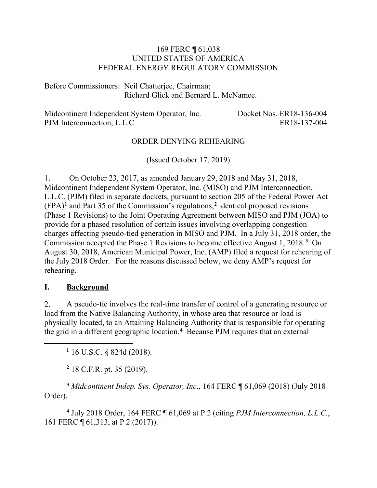## 169 FERC ¶ 61,038 UNITED STATES OF AMERICA FEDERAL ENERGY REGULATORY COMMISSION

Before Commissioners: Neil Chatterjee, Chairman; Richard Glick and Bernard L. McNamee.

Midcontinent Independent System Operator, Inc. Docket Nos. ER18-136-004 PJM Interconnection, L.L.C ER18-137-004

## ORDER DENYING REHEARING

(Issued October 17, 2019)

On October 23, 2017, as amended January 29, 2018 and May 31, 2018, 1. Midcontinent Independent System Operator, Inc. (MISO) and PJM Interconnection, L.L.C. (PJM) filed in separate dockets, pursuant to section 205 of the Federal Power Act (FPA)**[1](#page-0-0)** and Part 35 of the Commission's regulations,**[2](#page-0-1)** identical proposed revisions (Phase 1 Revisions) to the Joint Operating Agreement between MISO and PJM (JOA) to provide for a phased resolution of certain issues involving overlapping congestion charges affecting pseudo-tied generation in MISO and PJM. In a July 31, 2018 order, the Commission accepted the Phase 1 Revisions to become effective August 1, 2018. **[3](#page-0-2)** On August 30, 2018, American Municipal Power, Inc. (AMP) filed a request for rehearing of the July 2018 Order. For the reasons discussed below, we deny AMP's request for rehearing.

#### **I. Background**

<span id="page-0-0"></span> $\overline{a}$ 

2. A pseudo-tie involves the real-time transfer of control of a generating resource or load from the Native Balancing Authority, in whose area that resource or load is physically located, to an Attaining Balancing Authority that is responsible for operating the grid in a different geographic location.**[4](#page-0-3)** Because PJM requires that an external

**<sup>1</sup>** 16 U.S.C. § 824d (2018).

**<sup>2</sup>** 18 C.F.R. pt. 35 (2019).

<span id="page-0-2"></span><span id="page-0-1"></span>**<sup>3</sup>** *Midcontinent Indep. Sys. Operator, Inc*., 164 FERC ¶ 61,069 (2018) (July 2018 Order).

<span id="page-0-3"></span>**<sup>4</sup>** July 2018 Order, 164 FERC ¶ 61,069 at P 2 (citing *PJM Interconnection, L.L.C.*, 161 FERC ¶ 61,313, at P 2 (2017)).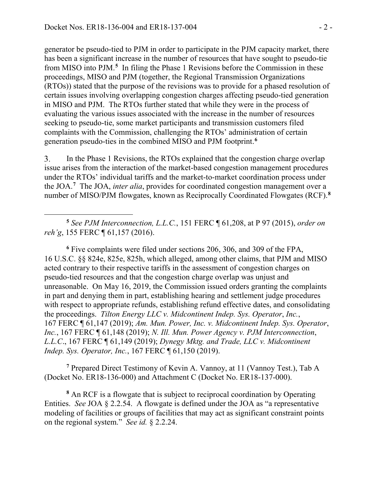$\overline{a}$ 

generator be pseudo-tied to PJM in order to participate in the PJM capacity market, there has been a significant increase in the number of resources that have sought to pseudo-tie from MISO into PJM.**[5](#page-1-0)** In filing the Phase 1 Revisions before the Commission in these proceedings, MISO and PJM (together, the Regional Transmission Organizations (RTOs)) stated that the purpose of the revisions was to provide for a phased resolution of certain issues involving overlapping congestion charges affecting pseudo-tied generation in MISO and PJM. The RTOs further stated that while they were in the process of evaluating the various issues associated with the increase in the number of resources seeking to pseudo-tie, some market participants and transmission customers filed complaints with the Commission, challenging the RTOs' administration of certain generation pseudo-ties in the combined MISO and PJM footprint.**[6](#page-1-1)**

3. In the Phase 1 Revisions, the RTOs explained that the congestion charge overlap issue arises from the interaction of the market-based congestion management procedures under the RTOs' individual tariffs and the market-to-market coordination process under the JOA.**[7](#page-1-2)** The JOA, *inter alia*, provides for coordinated congestion management over a number of MISO/PJM flowgates, known as Reciprocally Coordinated Flowgates (RCF).**[8](#page-1-3)**

<span id="page-1-0"></span>**<sup>5</sup>** *See PJM Interconnection, L.L.C.*, 151 FERC ¶ 61,208, at P 97 (2015), *order on reh'g*, 155 FERC ¶ 61,157 (2016).

<span id="page-1-1"></span>**<sup>6</sup>** Five complaints were filed under sections 206, 306, and 309 of the FPA, 16 U.S.C. §§ 824e, 825e, 825h, which alleged, among other claims, that PJM and MISO acted contrary to their respective tariffs in the assessment of congestion charges on pseudo-tied resources and that the congestion charge overlap was unjust and unreasonable. On May 16, 2019, the Commission issued orders granting the complaints in part and denying them in part, establishing hearing and settlement judge procedures with respect to appropriate refunds, establishing refund effective dates, and consolidating the proceedings. *Tilton Energy LLC v. Midcontinent Indep. Sys. Operator*, *Inc.*, 167 FERC ¶ 61,147 (2019); *Am. Mun. Power, Inc. v. Midcontinent Indep. Sys. Operator*, *Inc.*, 167 FERC ¶ 61,148 (2019); *N. Ill. Mun. Power Agency v. PJM Interconnection*, *L.L.C*., 167 FERC ¶ 61,149 (2019); *Dynegy Mktg. and Trade, LLC v. Midcontinent Indep. Sys. Operator, Inc.*, 167 FERC ¶ 61,150 (2019).

<span id="page-1-2"></span>**<sup>7</sup>** Prepared Direct Testimony of Kevin A. Vannoy, at 11 (Vannoy Test.), Tab A (Docket No. ER18-136-000) and Attachment C (Docket No. ER18-137-000).

<span id="page-1-3"></span>**<sup>8</sup>** An RCF is a flowgate that is subject to reciprocal coordination by Operating Entities. *See* JOA § 2.2.54. A flowgate is defined under the JOA as "a representative modeling of facilities or groups of facilities that may act as significant constraint points on the regional system." *See id.* § 2.2.24.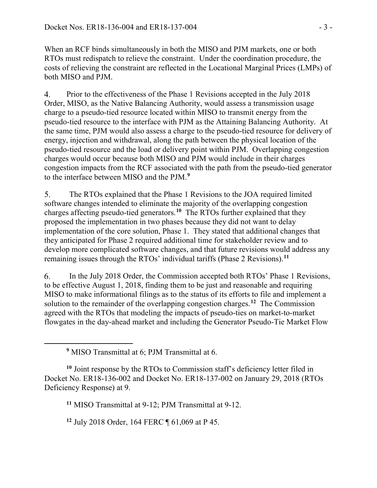When an RCF binds simultaneously in both the MISO and PJM markets, one or both RTOs must redispatch to relieve the constraint. Under the coordination procedure, the costs of relieving the constraint are reflected in the Locational Marginal Prices (LMPs) of both MISO and PJM.

Prior to the effectiveness of the Phase 1 Revisions accepted in the July 2018 4. Order, MISO, as the Native Balancing Authority, would assess a transmission usage charge to a pseudo-tied resource located within MISO to transmit energy from the pseudo-tied resource to the interface with PJM as the Attaining Balancing Authority. At the same time, PJM would also assess a charge to the pseudo-tied resource for delivery of energy, injection and withdrawal, along the path between the physical location of the pseudo-tied resource and the load or delivery point within PJM. Overlapping congestion charges would occur because both MISO and PJM would include in their charges congestion impacts from the RCF associated with the path from the pseudo-tied generator to the interface between MISO and the PJM. **[9](#page-2-0)**

5. The RTOs explained that the Phase 1 Revisions to the JOA required limited software changes intended to eliminate the majority of the overlapping congestion charges affecting pseudo-tied generators.**[10](#page-2-1)** The RTOs further explained that they proposed the implementation in two phases because they did not want to delay implementation of the core solution, Phase 1. They stated that additional changes that they anticipated for Phase 2 required additional time for stakeholder review and to develop more complicated software changes, and that future revisions would address any remaining issues through the RTOs' individual tariffs (Phase 2 Revisions).**[11](#page-2-2)**

6. In the July 2018 Order, the Commission accepted both RTOs' Phase 1 Revisions, to be effective August 1, 2018, finding them to be just and reasonable and requiring MISO to make informational filings as to the status of its efforts to file and implement a solution to the remainder of the overlapping congestion charges. **[12](#page-2-3)** The Commission agreed with the RTOs that modeling the impacts of pseudo-ties on market-to-market flowgates in the day-ahead market and including the Generator Pseudo-Tie Market Flow

<span id="page-2-0"></span> $\overline{a}$ 

**<sup>11</sup>** MISO Transmittal at 9-12; PJM Transmittal at 9-12.

<span id="page-2-3"></span>**<sup>12</sup>** July 2018 Order, 164 FERC ¶ 61,069 at P 45.

**<sup>9</sup>** MISO Transmittal at 6; PJM Transmittal at 6.

<span id="page-2-2"></span><span id="page-2-1"></span>**<sup>10</sup>** Joint response by the RTOs to Commission staff's deficiency letter filed in Docket No. ER18-136-002 and Docket No. ER18-137-002 on January 29, 2018 (RTOs Deficiency Response) at 9.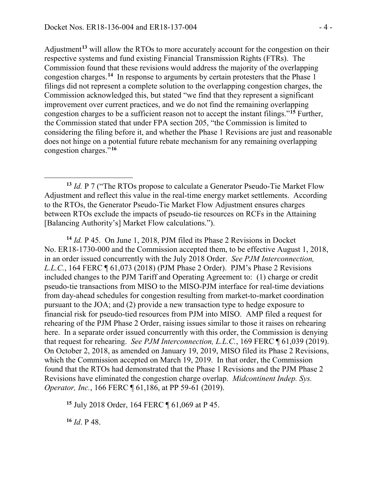Adjustment**[13](#page-3-0)** will allow the RTOs to more accurately account for the congestion on their respective systems and fund existing Financial Transmission Rights (FTRs). The Commission found that these revisions would address the majority of the overlapping congestion charges. **[14](#page-3-1)** In response to arguments by certain protesters that the Phase 1 filings did not represent a complete solution to the overlapping congestion charges, the Commission acknowledged this, but stated "we find that they represent a significant improvement over current practices, and we do not find the remaining overlapping congestion charges to be a sufficient reason not to accept the instant filings."**[15](#page-3-2)** Further, the Commission stated that under FPA section 205, "the Commission is limited to considering the filing before it, and whether the Phase 1 Revisions are just and reasonable does not hinge on a potential future rebate mechanism for any remaining overlapping congestion charges."**[16](#page-3-3)**

<span id="page-3-0"></span>**<sup>13</sup>** *Id.* P 7 ("The RTOs propose to calculate a Generator Pseudo-Tie Market Flow Adjustment and reflect this value in the real-time energy market settlements. According to the RTOs, the Generator Pseudo-Tie Market Flow Adjustment ensures charges between RTOs exclude the impacts of pseudo-tie resources on RCFs in the Attaining [Balancing Authority's] Market Flow calculations.").

<span id="page-3-1"></span>**<sup>14</sup>** *Id.* P 45. On June 1, 2018, PJM filed its Phase 2 Revisions in Docket No. ER18-1730-000 and the Commission accepted them, to be effective August 1, 2018, in an order issued concurrently with the July 2018 Order. *See PJM Interconnection, L.L.C.*, 164 FERC ¶ 61,073 (2018) (PJM Phase 2 Order). PJM's Phase 2 Revisions included changes to the PJM Tariff and Operating Agreement to: (1) charge or credit pseudo-tie transactions from MISO to the MISO-PJM interface for real-time deviations from day-ahead schedules for congestion resulting from market-to-market coordination pursuant to the JOA; and (2) provide a new transaction type to hedge exposure to financial risk for pseudo-tied resources from PJM into MISO. AMP filed a request for rehearing of the PJM Phase 2 Order, raising issues similar to those it raises on rehearing here. In a separate order issued concurrently with this order, the Commission is denying that request for rehearing. *See PJM Interconnection, L.L.C.*, 169 FERC ¶ 61,039 (2019). On October 2, 2018, as amended on January 19, 2019, MISO filed its Phase 2 Revisions, which the Commission accepted on March 19, 2019. In that order, the Commission found that the RTOs had demonstrated that the Phase 1 Revisions and the PJM Phase 2 Revisions have eliminated the congestion charge overlap. *Midcontinent Indep. Sys. Operator, Inc.,* 166 FERC ¶ 61,186, at PP 59-61 (2019).

<span id="page-3-2"></span>**<sup>15</sup>** July 2018 Order, 164 FERC ¶ 61,069 at P 45.

<span id="page-3-3"></span>**<sup>16</sup>** *Id*. P 48.

 $\overline{a}$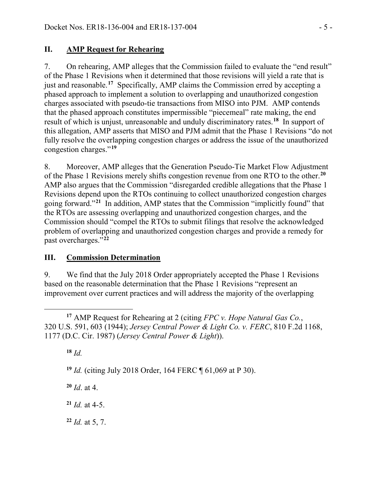# **II. AMP Request for Rehearing**

7. On rehearing, AMP alleges that the Commission failed to evaluate the "end result" of the Phase 1 Revisions when it determined that those revisions will yield a rate that is just and reasonable. **[17](#page-4-0)** Specifically, AMP claims the Commission erred by accepting a phased approach to implement a solution to overlapping and unauthorized congestion charges associated with pseudo-tie transactions from MISO into PJM. AMP contends that the phased approach constitutes impermissible "piecemeal" rate making, the end result of which is unjust, unreasonable and unduly discriminatory rates. **[18](#page-4-1)** In support of this allegation, AMP asserts that MISO and PJM admit that the Phase 1 Revisions "do not fully resolve the overlapping congestion charges or address the issue of the unauthorized congestion charges."**[19](#page-4-2)**

8. Moreover, AMP alleges that the Generation Pseudo-Tie Market Flow Adjustment of the Phase 1 Revisions merely shifts congestion revenue from one RTO to the other.**[20](#page-4-3)** AMP also argues that the Commission "disregarded credible allegations that the Phase 1 Revisions depend upon the RTOs continuing to collect unauthorized congestion charges going forward."**[21](#page-4-4)** In addition, AMP states that the Commission "implicitly found" that the RTOs are assessing overlapping and unauthorized congestion charges, and the Commission should "compel the RTOs to submit filings that resolve the acknowledged problem of overlapping and unauthorized congestion charges and provide a remedy for past overcharges."**[22](#page-4-5)**

## **III. Commission Determination**

9. We find that the July 2018 Order appropriately accepted the Phase 1 Revisions based on the reasonable determination that the Phase 1 Revisions "represent an improvement over current practices and will address the majority of the overlapping

<span id="page-4-1"></span><span id="page-4-0"></span> $\overline{a}$ **<sup>17</sup>** AMP Request for Rehearing at 2 (citing *FPC v. Hope Natural Gas Co.*, 320 U.S. 591, 603 (1944); *Jersey Central Power & Light Co. v. FERC*, 810 F.2d 1168, 1177 (D.C. Cir. 1987) (*Jersey Central Power & Light*)).

**<sup>18</sup>** *Id.*

<span id="page-4-2"></span>**<sup>19</sup>** *Id.* (citing July 2018 Order, 164 FERC ¶ 61,069 at P 30).

<span id="page-4-3"></span>**<sup>20</sup>** *Id*. at 4.

<span id="page-4-4"></span> $21$  *Id.* at 4-5.

<span id="page-4-5"></span>**<sup>22</sup>** *Id.* at 5, 7.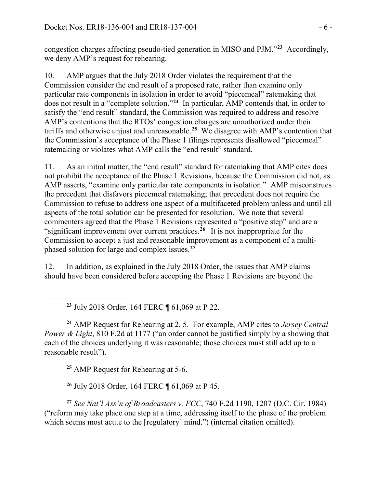congestion charges affecting pseudo-tied generation in MISO and PJM."**[23](#page-5-0)** Accordingly, we deny AMP's request for rehearing.

10. AMP argues that the July 2018 Order violates the requirement that the Commission consider the end result of a proposed rate, rather than examine only particular rate components in isolation in order to avoid "piecemeal" ratemaking that does not result in a "complete solution."**[24](#page-5-1)** In particular, AMP contends that, in order to satisfy the "end result" standard, the Commission was required to address and resolve AMP's contentions that the RTOs' congestion charges are unauthorized under their tariffs and otherwise unjust and unreasonable.**[25](#page-5-2)** We disagree with AMP's contention that the Commission's acceptance of the Phase 1 filings represents disallowed "piecemeal" ratemaking or violates what AMP calls the "end result" standard.

11. As an initial matter, the "end result" standard for ratemaking that AMP cites does not prohibit the acceptance of the Phase 1 Revisions, because the Commission did not, as AMP asserts, "examine only particular rate components in isolation." AMP misconstrues the precedent that disfavors piecemeal ratemaking; that precedent does not require the Commission to refuse to address one aspect of a multifaceted problem unless and until all aspects of the total solution can be presented for resolution. We note that several commenters agreed that the Phase 1 Revisions represented a "positive step" and are a "significant improvement over current practices. **[26](#page-5-3)** It is not inappropriate for the Commission to accept a just and reasonable improvement as a component of a multiphased solution for large and complex issues.**[27](#page-5-4)**

12. In addition, as explained in the July 2018 Order, the issues that AMP claims should have been considered before accepting the Phase 1 Revisions are beyond the

**<sup>23</sup>** July 2018 Order, 164 FERC ¶ 61,069 at P 22.

<span id="page-5-1"></span>**<sup>24</sup>** AMP Request for Rehearing at 2, 5. For example, AMP cites to *Jersey Central Power & Light*, 810 F.2d at 1177 ("an order cannot be justified simply by a showing that each of the choices underlying it was reasonable; those choices must still add up to a reasonable result").

**<sup>25</sup>** AMP Request for Rehearing at 5-6.

<span id="page-5-0"></span> $\overline{a}$ 

**<sup>26</sup>** July 2018 Order, 164 FERC ¶ 61,069 at P 45.

<span id="page-5-4"></span><span id="page-5-3"></span><span id="page-5-2"></span>**<sup>27</sup>** *See Nat'l Ass'n of Broadcasters v. FCC*, 740 F.2d 1190, 1207 (D.C. Cir. 1984) ("reform may take place one step at a time, addressing itself to the phase of the problem which seems most acute to the [regulatory] mind.") (internal citation omitted).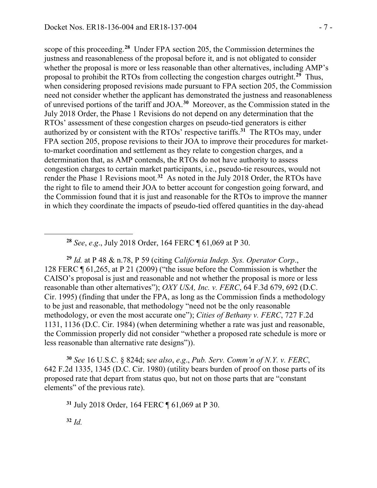scope of this proceeding.**[28](#page-6-0)** Under FPA section 205, the Commission determines the justness and reasonableness of the proposal before it, and is not obligated to consider whether the proposal is more or less reasonable than other alternatives, including AMP's proposal to prohibit the RTOs from collecting the congestion charges outright. **[29](#page-6-1)** Thus, when considering proposed revisions made pursuant to FPA section 205, the Commission need not consider whether the applicant has demonstrated the justness and reasonableness of unrevised portions of the tariff and JOA.**[30](#page-6-2)** Moreover, as the Commission stated in the July 2018 Order, the Phase 1 Revisions do not depend on any determination that the RTOs' assessment of these congestion charges on pseudo-tied generators is either authorized by or consistent with the RTOs' respective tariffs.**[31](#page-6-3)** The RTOs may, under FPA section 205, propose revisions to their JOA to improve their procedures for marketto-market coordination and settlement as they relate to congestion charges, and a determination that, as AMP contends, the RTOs do not have authority to assess congestion charges to certain market participants, i.e., pseudo-tie resources, would not render the Phase 1 Revisions moot.**[32](#page-6-4)** As noted in the July 2018 Order, the RTOs have the right to file to amend their JOA to better account for congestion going forward, and the Commission found that it is just and reasonable for the RTOs to improve the manner in which they coordinate the impacts of pseudo-tied offered quantities in the day-ahead

**<sup>28</sup>** *See*, *e*.*g*., July 2018 Order, 164 FERC ¶ 61,069 at P 30.

<span id="page-6-1"></span>**<sup>29</sup>** *Id.* at P 48 & n.78, P 59 (citing *California Indep. Sys. Operator Corp*., 128 FERC ¶ 61,265, at P 21 (2009) ("the issue before the Commission is whether the CAISO's proposal is just and reasonable and not whether the proposal is more or less reasonable than other alternatives"); *OXY USA, Inc. v. FERC*, 64 F.3d 679, 692 (D.C. Cir. 1995) (finding that under the FPA, as long as the Commission finds a methodology to be just and reasonable, that methodology "need not be the only reasonable methodology, or even the most accurate one"); *Cities of Bethany v. FERC*, 727 F.2d 1131, 1136 (D.C. Cir. 1984) (when determining whether a rate was just and reasonable, the Commission properly did not consider "whether a proposed rate schedule is more or less reasonable than alternative rate designs")).

<span id="page-6-3"></span><span id="page-6-2"></span>**<sup>30</sup>** *See* 16 U.S.C. § 824d; s*ee also*, *e*.*g*., *Pub. Serv. Comm'n of N.Y. v. FERC*, 642 F.2d 1335, 1345 (D.C. Cir. 1980) (utility bears burden of proof on those parts of its proposed rate that depart from status quo, but not on those parts that are "constant elements" of the previous rate).

**<sup>31</sup>** July 2018 Order, 164 FERC ¶ 61,069 at P 30.

<span id="page-6-4"></span>**<sup>32</sup>** *Id.*

<span id="page-6-0"></span> $\overline{a}$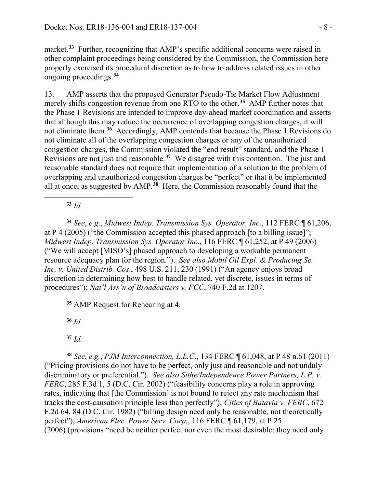market.<sup>[33](#page-7-0)</sup> Further, recognizing that AMP's specific additional concerns were raised in other complaint proceedings being considered by the Commission, the Commission here properly exercised its procedural discretion as to how to address related issues in other ongoing proceedings.**[34](#page-7-1)**

13. AMP asserts that the proposed Generator Pseudo-Tie Market Flow Adjustment merely shifts congestion revenue from one RTO to the other. **[35](#page-7-2)** AMP further notes that the Phase 1 Revisions are intended to improve day-ahead market coordination and asserts that although this may reduce the occurrence of overlapping congestion charges, it will not eliminate them. **[36](#page-7-3)** Accordingly, AMP contends that because the Phase 1 Revisions do not eliminate all of the overlapping congestion charges or any of the unauthorized congestion charges, the Commission violated the "end result" standard, and the Phase 1 Revisions are not just and reasonable.**[37](#page-7-4)** We disagree with this contention. The just and reasonable standard does not require that implementation of a solution to the problem of overlapping and unauthorized congestion charges be "perfect" or that it be implemented all at once, as suggested by AMP.**[38](#page-7-5)** Here, the Commission reasonably found that the

**<sup>33</sup>** *Id.*

<span id="page-7-0"></span> $\overline{a}$ 

<span id="page-7-1"></span>**<sup>34</sup>** *See*, *e.g*., *Midwest Indep. Transmission Sys. Operator, Inc.*, 112 FERC ¶ 61,206, at P 4 (2005) ("the Commission accepted this phased approach [to a billing issue]"; *Midwest Indep. Transmission Sys. Operator Inc*., 116 FERC ¶ 61,252, at P 49 (2006) ("We will accept [MISO's] phased approach to developing a workable permanent resource adequacy plan for the region."). *See also Mobil Oil Expl. & Producing Se. Inc. v. United Distrib. Cos*., 498 U.S. 211, 230 (1991) ("An agency enjoys broad discretion in determining how best to handle related, yet discrete, issues in terms of procedures"); *Nat'l Ass'n of Broadcasters v. FCC*, 740 F.2d at 1207.

<span id="page-7-2"></span>**<sup>35</sup>** AMP Request for Rehearing at 4.

**<sup>36</sup>** *Id.*

<span id="page-7-5"></span><span id="page-7-4"></span><span id="page-7-3"></span>**<sup>38</sup>** *See*, *e.g.*, *PJM Interconnection, L.L.C*., 134 FERC ¶ 61,048, at P 48 n.61 (2011) ("Pricing provisions do not have to be perfect, only just and reasonable and not unduly discriminatory or preferential."). *See also Sithe/Independence Power Partners, L.P. v. FERC*, 285 F.3d 1, 5 (D.C. Cir. 2002) ("feasibility concerns play a role in approving rates, indicating that [the Commission] is not bound to reject any rate mechanism that tracks the cost-causation principle less than perfectly"); *Cities of Batavia v. FERC*, 672 F.2d 64, 84 (D.C. Cir. 1982) ("billing design need only be reasonable, not theoretically perfect"); *American Elec. Power Serv. Corp.*, 116 FERC ¶ 61,179, at P 25 (2006) (provisions "need be neither perfect nor even the most desirable; they need only

**<sup>37</sup>** *Id.*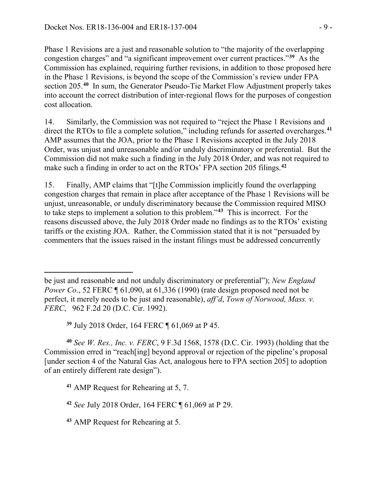Phase 1 Revisions are a just and reasonable solution to "the majority of the overlapping congestion charges" and "a significant improvement over current practices."**[39](#page-8-0)** As the Commission has explained, requiring further revisions, in addition to those proposed here in the Phase 1 Revisions, is beyond the scope of the Commission's review under FPA section 205.**[40](#page-8-1)** In sum, the Generator Pseudo-Tie Market Flow Adjustment properly takes into account the correct distribution of inter-regional flows for the purposes of congestion cost allocation.

14. Similarly, the Commission was not required to "reject the Phase 1 Revisions and direct the RTOs to file a complete solution," including refunds for asserted overcharges.**[41](#page-8-2)** AMP assumes that the JOA, prior to the Phase 1 Revisions accepted in the July 2018 Order, was unjust and unreasonable and/or unduly discriminatory or preferential. But the Commission did not make such a finding in the July 2018 Order, and was not required to make such a finding in order to act on the RTOs' FPA section 205 filings.**[42](#page-8-3)**

15. Finally, AMP claims that "[t]he Commission implicitly found the overlapping congestion charges that remain in place after acceptance of the Phase 1 Revisions will be unjust, unreasonable, or unduly discriminatory because the Commission required MISO to take steps to implement a solution to this problem."**[43](#page-8-4)** This is incorrect. For the reasons discussed above, the July 2018 Order made no findings as to the RTOs' existing tariffs or the existing JOA. Rather, the Commission stated that it is not "persuaded by commenters that the issues raised in the instant filings must be addressed concurrently

<span id="page-8-2"></span><span id="page-8-1"></span><span id="page-8-0"></span>**<sup>40</sup>** *See W. Res., Inc. v. FERC*, 9 F.3d 1568, 1578 (D.C. Cir. 1993) (holding that the Commission erred in "reach[ing] beyond approval or rejection of the pipeline's proposal [under section 4 of the Natural Gas Act, analogous here to FPA section 205] to adoption of an entirely different rate design").

 $\overline{a}$ 

be just and reasonable and not unduly discriminatory or preferential"); *New England Power Co.*, 52 FERC  $\P$  61,090, at 61,336 (1990) (rate design proposed need not be perfect, it merely needs to be just and reasonable), *aff'd*, *Town of Norwood, Mass. v. FERC*, 962 F.2d 20 (D.C. Cir. 1992).

**<sup>39</sup>** July 2018 Order, 164 FERC ¶ 61,069 at P 45.

**<sup>41</sup>** AMP Request for Rehearing at 5, 7.

<span id="page-8-3"></span>**<sup>42</sup>** *See* July 2018 Order, 164 FERC ¶ 61,069 at P 29.

<span id="page-8-4"></span>**<sup>43</sup>** AMP Request for Rehearing at 5.